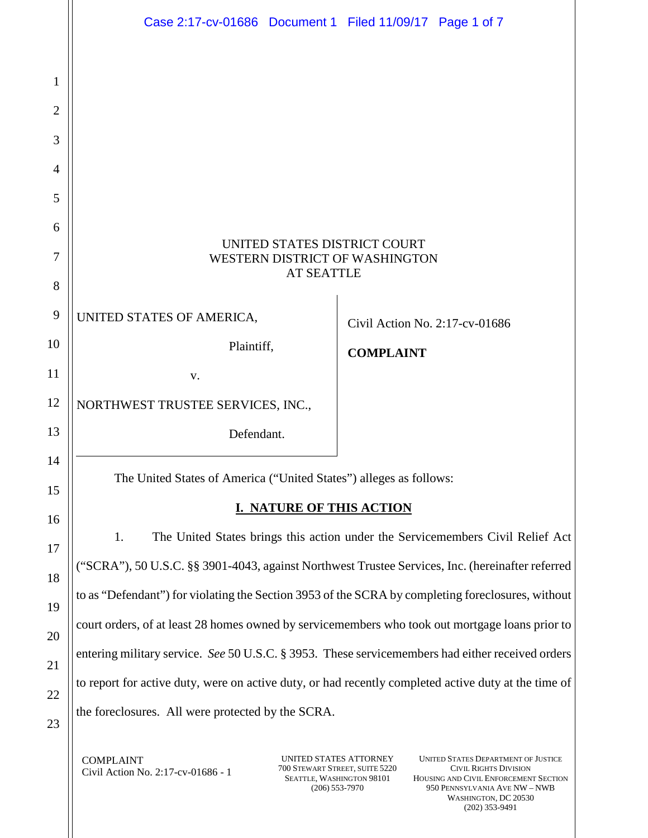|                | Case 2:17-cv-01686 Document 1 Filed 11/09/17 Page 1 of 7                                             |                                |  |  |
|----------------|------------------------------------------------------------------------------------------------------|--------------------------------|--|--|
|                |                                                                                                      |                                |  |  |
| 1              |                                                                                                      |                                |  |  |
| $\overline{2}$ |                                                                                                      |                                |  |  |
| 3              |                                                                                                      |                                |  |  |
| $\overline{4}$ |                                                                                                      |                                |  |  |
| 5              |                                                                                                      |                                |  |  |
| 6              | UNITED STATES DISTRICT COURT                                                                         |                                |  |  |
| 7              | WESTERN DISTRICT OF WASHINGTON<br><b>AT SEATTLE</b>                                                  |                                |  |  |
| 8              |                                                                                                      |                                |  |  |
| 9              | UNITED STATES OF AMERICA,                                                                            | Civil Action No. 2:17-cv-01686 |  |  |
| 10             | Plaintiff,                                                                                           | <b>COMPLAINT</b>               |  |  |
| 11             | V.                                                                                                   |                                |  |  |
| 12             | NORTHWEST TRUSTEE SERVICES, INC.,                                                                    |                                |  |  |
| 13             | Defendant.                                                                                           |                                |  |  |
| 14<br>15       | The United States of America ("United States") alleges as follows:                                   |                                |  |  |
| 16             | <b>NATURE OF THIS ACTION</b>                                                                         |                                |  |  |
| 17             | The United States brings this action under the Servicemembers Civil Relief Act<br>1.                 |                                |  |  |
| 18             | ("SCRA"), 50 U.S.C. §§ 3901-4043, against Northwest Trustee Services, Inc. (hereinafter referred     |                                |  |  |
| 19             | to as "Defendant") for violating the Section 3953 of the SCRA by completing foreclosures, without    |                                |  |  |
| 20             | court orders, of at least 28 homes owned by servicemembers who took out mortgage loans prior to      |                                |  |  |
| 21             | entering military service. See 50 U.S.C. § 3953. These servicemembers had either received orders     |                                |  |  |
| 22             | to report for active duty, were on active duty, or had recently completed active duty at the time of |                                |  |  |
| 23             | the foreclosures. All were protected by the SCRA.                                                    |                                |  |  |
|                |                                                                                                      |                                |  |  |

 $Civil$  Action No. 2:17-cv-01686 - 1  $700$  STEWART STREET, SUITE 5220

TOO STEWART STREET, SUITE 5220<br>SEATTLE, WASHINGTON 98101<br>(206) 553-7970

COMPLAINT UNITED STATES ATTORNEY UNITED STATES DEPARTMENT OF JUSTICE CIVIL RIGHTS DIVISION HOUSING AND CIVIL ENFORCEMENT SECTION (206) 553-7970 950 PENNSYLVANIA AVE NW – NWB WASHINGTON, DC 20530 (202) 353-9491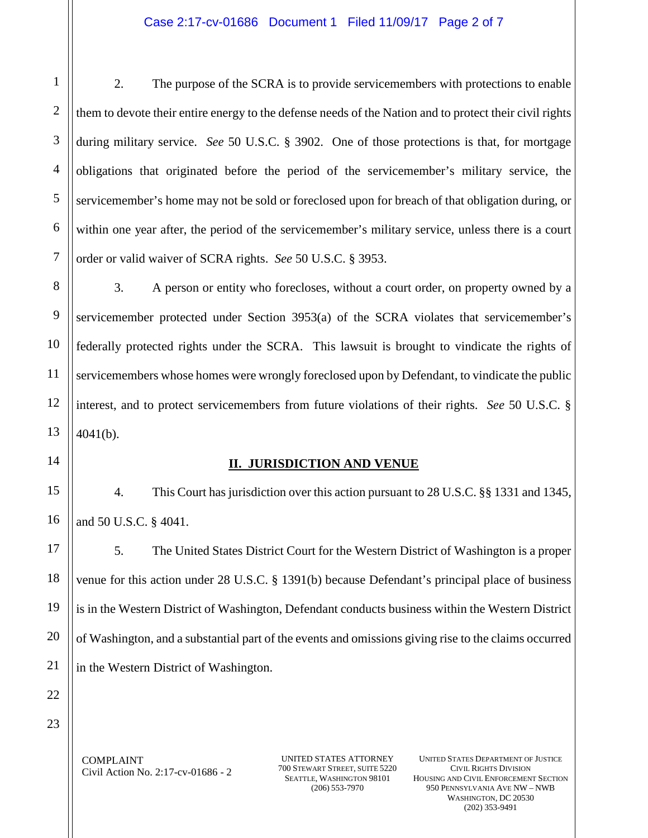## Case 2:17-cv-01686 Document 1 Filed 11/09/17 Page 2 of 7

 during military service. *See* 50 U.S.C. § 3902. One of those protections is that, for mortgage obligations that originated before the period of the servicemember's military service, the servicemember's home may not be sold or foreclosed upon for breach of that obligation during, or order or valid waiver of SCRA rights. *See* 50 U.S.C. § 3953. 2 4 5 6 2. The purpose of the SCRA is to provide servicemembers with protections to enable them to devote their entire energy to the defense needs of the Nation and to protect their civil rights within one year after, the period of the servicemember's military service, unless there is a court

 3. A person or entity who forecloses, without a court order, on property owned by a federally protected rights under the SCRA. This lawsuit is brought to vindicate the rights of interest, and to protect servicemembers from future violations of their rights. *See* 50 U.S.C. § servicemember protected under Section 3953(a) of the SCRA violates that servicemember's servicemembers whose homes were wrongly foreclosed upon by Defendant, to vindicate the public 4041(b).

14

1

3

7

8

9

10

11

12

13

15

16

17

18

19

20

21

22

### **II. JURISDICTION AND VENUE**

and 50 U.S.C. § 4041. 4. This Court has jurisdiction over this action pursuant to 28 U.S.C. §§ 1331 and 1345,

and 50 U.S.C. § 4041.<br>5. The United States District Court for the Western District of Washington is a proper venue for this action under 28 U.S.C. § 1391(b) because Defendant's principal place of business is in the Western District of Washington, Defendant conducts business within the Western District of Washington, and a substantial part of the events and omissions giving rise to the claims occurred in the Western District of Washington.

23

 $Civil$  Action No. 2:17-cv-01686 - 2  $\frac{700 \text{ STEWART} \text{ STEET, SUTE } 5220}{554.77 \text{ kN} \cdot \text{SUTE} 720}$ 

SEATTLE, WASHINGTON 98101

 (206) 553-7970 950 PENNSYLVANIA AVE NW – NWB WASHINGTON, DC 20530 COMPLAINT UNITED STATES ATTORNEY UNITED STATES DEPARTMENT OF JUSTICE<br>
Civil Action No. 2:17 cv. 01686 2 700 STEWART STREET, SUITE 5220 CIVIL RIGHTS DIVISION CIVIL RIGHTS DIVISION HOUSING AND CIVIL ENFORCEMENT SECTION (202) 353-9491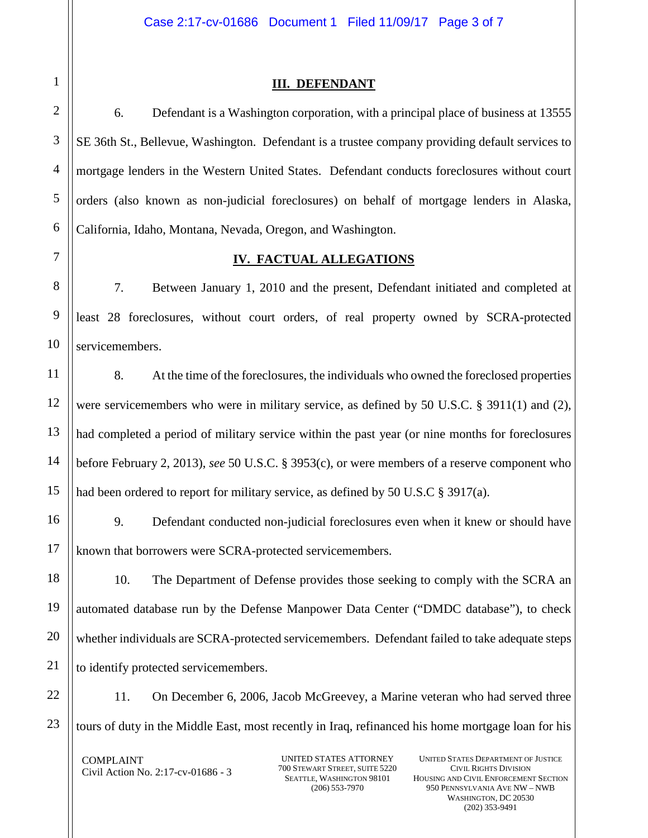## **III. DEFENDANT**

6. Defendant is a Washington corporation, with a principal place of business at 13555 SE 36th St., Bellevue, Washington. Defendant is a trustee company providing default services to mortgage lenders in the Western United States. Defendant conducts foreclosures without court orders (also known as non-judicial foreclosures) on behalf of mortgage lenders in Alaska, California, Idaho, Montana, Nevada, Oregon, and Washington.

# **IV. FACTUAL ALLEGATIONS**

 7. Between January 1, 2010 and the present, Defendant initiated and completed at least 28 foreclosures, without court orders, of real property owned by SCRA-protected servicemembers.

 had completed a period of military service within the past year (or nine months for foreclosures before February 2, 2013), *see* 50 U.S.C. § 3953(c), or were members of a reserve component who had been ordered to report for military service, as defined by 50 U.S.C  $\S$  3917(a). 8. At the time of the foreclosures, the individuals who owned the foreclosed properties were servicemembers who were in military service, as defined by 50 U.S.C. § 3911(1) and (2),

 known that borrowers were SCRA-protected servicemembers. 9. Defendant conducted non-judicial foreclosures even when it knew or should have

 automated database run by the Defense Manpower Data Center ("DMDC database"), to check whether individuals are SCRA-protected servicemembers. Defendant failed to take adequate steps 10. The Department of Defense provides those seeking to comply with the SCRA an to identify protected servicemembers.

11. On December 6, 2006, Jacob McGreevey, a Marine veteran who had served three tours of duty in the Middle East, most recently in Iraq, refinanced his home mortgage loan for his

 $Civil$  Action No. 2:17-cv-01686 - 3  $700$  STEWART STREET, SUITE 5220 COMPLAINT UNITED STATES ATTORNEY UNITED STATES DEPARTMENT OF JUSTICE<br>
Civil Action No. 2:17 cv. 01686 2 700 STEWART STREET, SUITE 5220 CIVIL RIGHTS DIVISION

SEATTLE, WASHINGTON 98101

1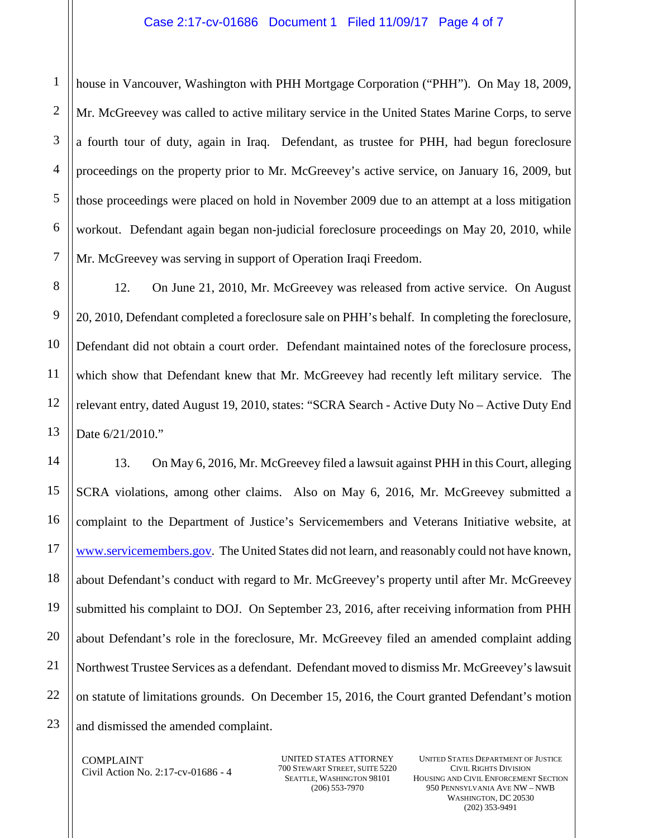1 2 3 4 5 6 7 house in Vancouver, Washington with PHH Mortgage Corporation ("PHH"). On May 18, 2009, Mr. McGreevey was called to active military service in the United States Marine Corps, to serve a fourth tour of duty, again in Iraq. Defendant, as trustee for PHH, had begun foreclosure proceedings on the property prior to Mr. McGreevey's active service, on January 16, 2009, but those proceedings were placed on hold in November 2009 due to an attempt at a loss mitigation workout. Defendant again began non-judicial foreclosure proceedings on May 20, 2010, while Mr. McGreevey was serving in support of Operation Iraqi Freedom.

 20, 2010, Defendant completed a foreclosure sale on PHH's behalf. In completing the foreclosure, which show that Defendant knew that Mr. McGreevey had recently left military service. The Date 6/21/2010." 12. On June 21, 2010, Mr. McGreevey was released from active service. On August Defendant did not obtain a court order. Defendant maintained notes of the foreclosure process, relevant entry, dated August 19, 2010, states: "SCRA Search - Active Duty No – Active Duty End

13. On May 6, 2016, Mr. McGreevey filed a lawsuit against PHH in this Court, alleging SCRA violations, among other claims. Also on May 6, 2016, Mr. McGreevey submitted a complaint to the Department of Justice's Servicemembers and Veterans Initiative website, at [www.servicemembers.gov.](http://www.servicemembers.gov/) The United States did not learn, and reasonably could not have known, about Defendant's conduct with regard to Mr. McGreevey's property until after Mr. McGreevey submitted his complaint to DOJ. On September 23, 2016, after receiving information from PHH about Defendant's role in the foreclosure, Mr. McGreevey filed an amended complaint adding Northwest Trustee Services as a defendant. Defendant moved to dismiss Mr. McGreevey's lawsuit on statute of limitations grounds. On December 15, 2016, the Court granted Defendant's motion and dismissed the amended complaint.

 $Civil$  Action No. 2:17-cv-01686 - 4  $700$  STEWART STREET, SUITE 5220 COMPLAINT UNITED STATES ATTORNEY UNITED STATES DEPARTMENT OF JUSTICE<br>
Civil Action No. 2:17 cv. 01686 4 700 STEWART STREET, SUITE 5220 CIVIL RIGHTS DIVISION

SEATTLE, WASHINGTON 98101

 (206) 553-7970 950 PENNSYLVANIA AVE NW – NWB WASHINGTON, DC 20530 CIVIL RIGHTS DIVISION HOUSING AND CIVIL ENFORCEMENT SECTION (202) 353-9491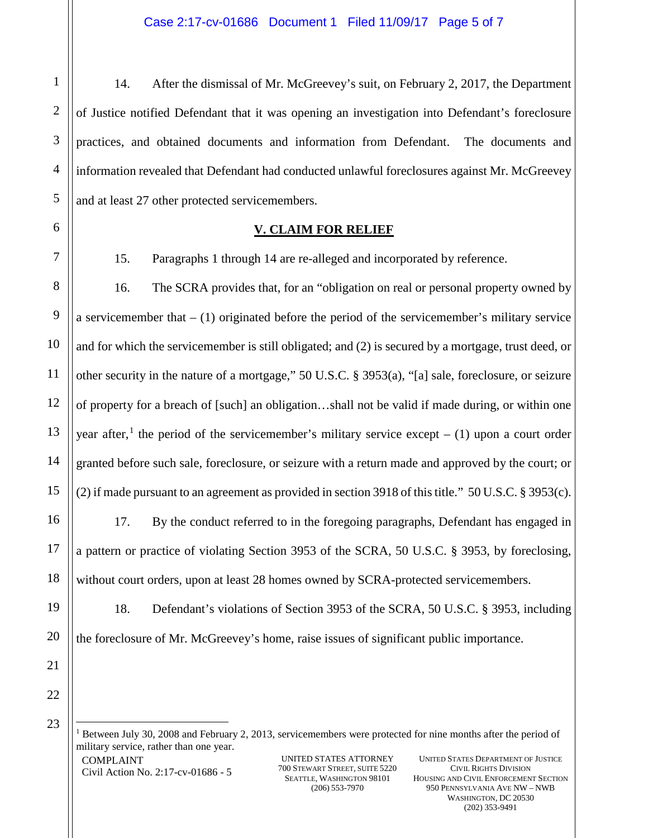practices, and obtained documents and information from Defendant. The documents and information revealed that Defendant had conducted unlawful foreclosures against Mr. McGreevey 14. After the dismissal of Mr. McGreevey's suit, on February 2, 2017, the Department of Justice notified Defendant that it was opening an investigation into Defendant's foreclosure and at least 27 other protected servicemembers.

1

2

3

4

5

6

7

8

9

10

11

12

13

14

15

16

17

18

19

20

21

15. Paragraphs 1 through 14 are re-alleged and incorporated by reference.

 **V. CLAIM FOR RELIEF** 

year after,<sup>[1](#page-4-0)</sup> the period of the servicemember's military service except  $- (1)$  upon a court order granted before such sale, foreclosure, or seizure with a return made and approved by the court; or 16. The SCRA provides that, for an "obligation on real or personal property owned by a servicemember that  $- (1)$  originated before the period of the servicemember's military service and for which the servicemember is still obligated; and (2) is secured by a mortgage, trust deed, or other security in the nature of a mortgage," 50 U.S.C. § 3953(a), "[a] sale, foreclosure, or seizure of property for a breach of [such] an obligation…shall not be valid if made during, or within one

(2) if made pursuant to an agreement as provided in section 3918 of this title." 50 U.S.C. § 3953(c). 17. By the conduct referred to in the foregoing paragraphs, Defendant has engaged in without court orders, upon at least 28 homes owned by SCRA-protected servicemembers. a pattern or practice of violating Section 3953 of the SCRA, 50 U.S.C. § 3953, by foreclosing,

18. Defendant's violations of Section 3953 of the SCRA, 50 U.S.C. § 3953, including the foreclosure of Mr. McGreevey's home, raise issues of significant public importance.

<span id="page-4-0"></span>22 23

-

Civil Action No. 2:17-cv-01686 - 5 <sup>1</sup> Between July 30, 2008 and February 2, 2013, servicemembers were protected for nine months after the period of military service, rather than one year. COMPLAINT UNITED STATES ATTORNEY UNITED STATES DEPARTMENT OF JUSTICE<br>
Civil Action No. 2:17 cv. 01686 5 700 STEWART STREET, SUITE 5220 CIVIL RIGHTS DIVISION

 (206) 553-7970 950 PENNSYLVANIA AVE NW – NWB WASHINGTON, DC 20530 SEATTLE, WASHINGTON 98101 HOUSING AND CIVIL ENFORCEMENT SECTION (202) 353-9491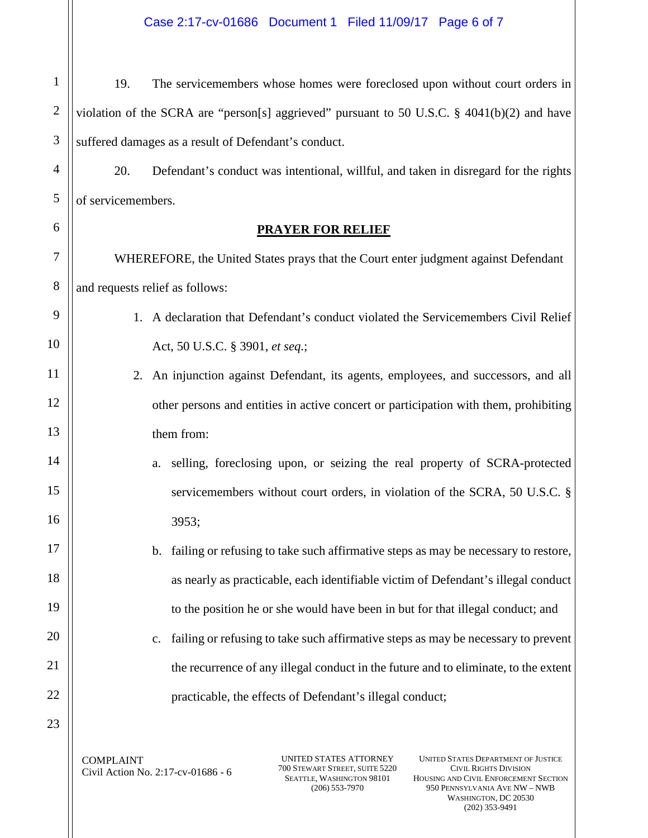1 2 3 19. The servicemembers whose homes were foreclosed upon without court orders in violation of the SCRA are "person[s] aggrieved" pursuant to 50 U.S.C. § 4041(b)(2) and have suffered damages as a result of Defendant's conduct.

20. Defendant's conduct was intentional, willful, and taken in disregard for the rights of servicemembers.

# **PRAYER FOR RELIEF**

8 WHEREFORE, the United States prays that the Court enter judgment against Defendant and requests relief as follows:

- 1. A declaration that Defendant's conduct violated the Servicemembers Civil Relief Act, 50 U.S.C. § 3901, *et seq*.;
	- them from: 2. An injunction against Defendant, its agents, employees, and successors, and all other persons and entities in active concert or participation with them, prohibiting
- a. selling, foreclosing upon, or seizing the real property of SCRA-protected servicemembers without court orders, in violation of the SCRA, 50 U.S.C. § 3953;
	- b. failing or refusing to take such affirmative steps as may be necessary to restore, as nearly as practicable, each identifiable victim of Defendant's illegal conduct to the position he or she would have been in but for that illegal conduct; and
	- c. failing or refusing to take such affirmative steps as may be necessary to prevent the recurrence of any illegal conduct in the future and to eliminate, to the extent practicable, the effects of Defendant's illegal conduct;

23

22

4

5

6

7

9

10

11

12

13

14

15

16

17

18

19

20

21

 $\frac{700 \text{ STEWART} \cdot \text{STREET}}{5220}$   $\frac{700 \text{ STEWART} \cdot \text{STREET}}{5220}$ 

SEATTLE, WASHINGTON 98101

 (206) 553-7970 950 PENNSYLVANIA AVE NW – NWB WASHINGTON, DC 20530 COMPLAINT UNITED STATES ATTORNEY UNITED STATES DEPARTMENT OF JUSTICE<br>
Civil Action No. 2:17 cv. 01686 6 700 STEWART STREET, SUITE 5220 CIVIL RIGHTS DIVISION CIVIL RIGHTS DIVISION HOUSING AND CIVIL ENFORCEMENT SECTION (202) 353-9491